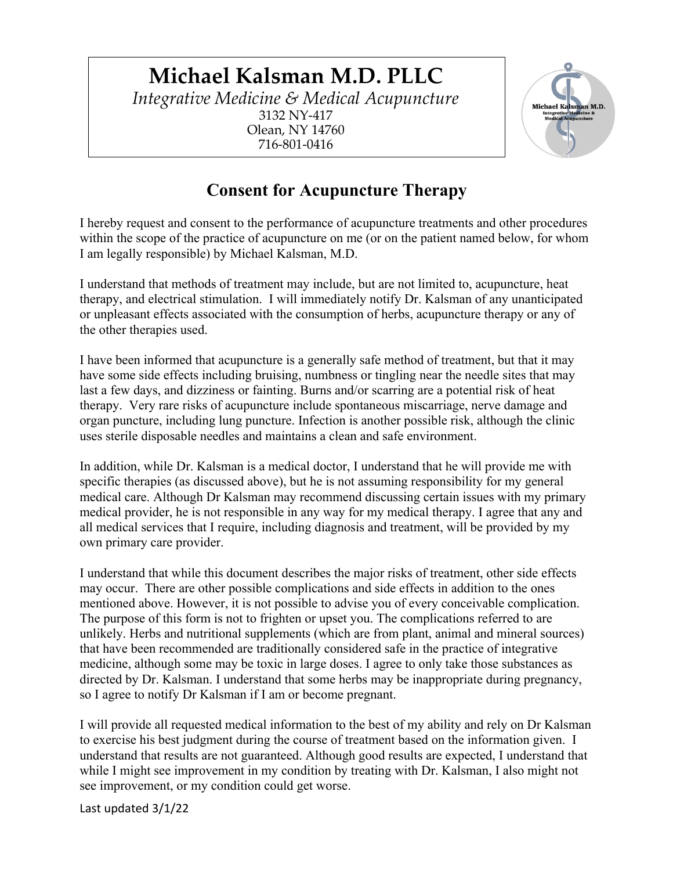## **Michael Kalsman M.D. PLLC** *Integrative Medicine & Medical Acupuncture* 3132 NY-417 Olean, NY 14760 716-801-0416



## **Consent for Acupuncture Therapy**

I hereby request and consent to the performance of acupuncture treatments and other procedures within the scope of the practice of acupuncture on me (or on the patient named below, for whom I am legally responsible) by Michael Kalsman, M.D.

I understand that methods of treatment may include, but are not limited to, acupuncture, heat therapy, and electrical stimulation. I will immediately notify Dr. Kalsman of any unanticipated or unpleasant effects associated with the consumption of herbs, acupuncture therapy or any of the other therapies used.

I have been informed that acupuncture is a generally safe method of treatment, but that it may have some side effects including bruising, numbness or tingling near the needle sites that may last a few days, and dizziness or fainting. Burns and/or scarring are a potential risk of heat therapy. Very rare risks of acupuncture include spontaneous miscarriage, nerve damage and organ puncture, including lung puncture. Infection is another possible risk, although the clinic uses sterile disposable needles and maintains a clean and safe environment.

In addition, while Dr. Kalsman is a medical doctor, I understand that he will provide me with specific therapies (as discussed above), but he is not assuming responsibility for my general medical care. Although Dr Kalsman may recommend discussing certain issues with my primary medical provider, he is not responsible in any way for my medical therapy. I agree that any and all medical services that I require, including diagnosis and treatment, will be provided by my own primary care provider.

I understand that while this document describes the major risks of treatment, other side effects may occur. There are other possible complications and side effects in addition to the ones mentioned above. However, it is not possible to advise you of every conceivable complication. The purpose of this form is not to frighten or upset you. The complications referred to are unlikely. Herbs and nutritional supplements (which are from plant, animal and mineral sources) that have been recommended are traditionally considered safe in the practice of integrative medicine, although some may be toxic in large doses. I agree to only take those substances as directed by Dr. Kalsman. I understand that some herbs may be inappropriate during pregnancy, so I agree to notify Dr Kalsman if I am or become pregnant.

I will provide all requested medical information to the best of my ability and rely on Dr Kalsman to exercise his best judgment during the course of treatment based on the information given. I understand that results are not guaranteed. Although good results are expected, I understand that while I might see improvement in my condition by treating with Dr. Kalsman, I also might not see improvement, or my condition could get worse.

Last updated 3/1/22